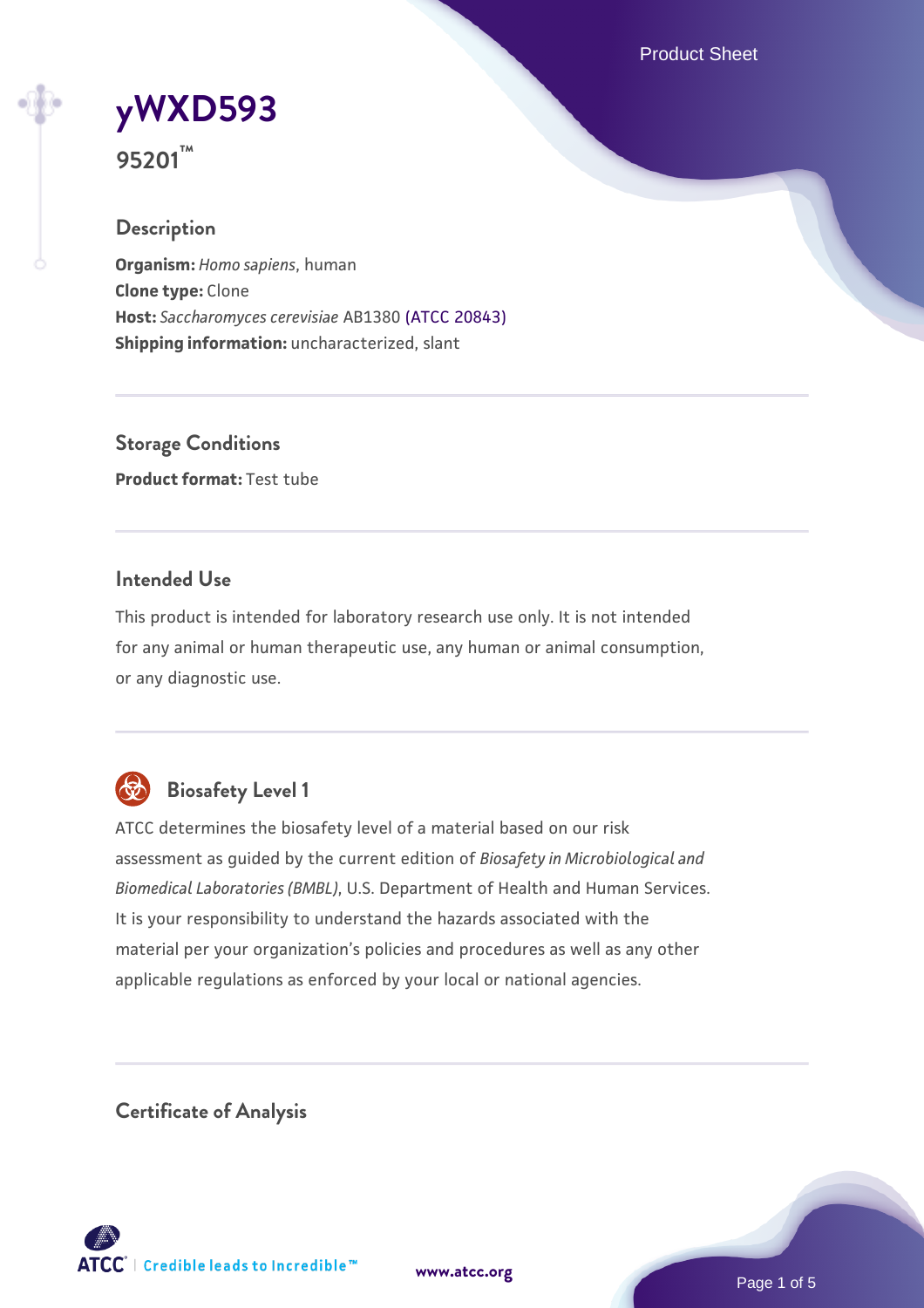Product Sheet

# **[yWXD593](https://www.atcc.org/products/95201)**

**95201™**

#### **Description**

**Organism:** *Homo sapiens*, human **Clone type:** Clone **Host:** *Saccharomyces cerevisiae* AB1380 [\(ATCC 20843\)](https://www.atcc.org/products/20843) **Shipping information:** uncharacterized, slant

**Storage Conditions Product format:** Test tube

#### **Intended Use**

This product is intended for laboratory research use only. It is not intended for any animal or human therapeutic use, any human or animal consumption, or any diagnostic use.



### **Biosafety Level 1**

ATCC determines the biosafety level of a material based on our risk assessment as guided by the current edition of *Biosafety in Microbiological and Biomedical Laboratories (BMBL)*, U.S. Department of Health and Human Services. It is your responsibility to understand the hazards associated with the material per your organization's policies and procedures as well as any other applicable regulations as enforced by your local or national agencies.

**Certificate of Analysis**

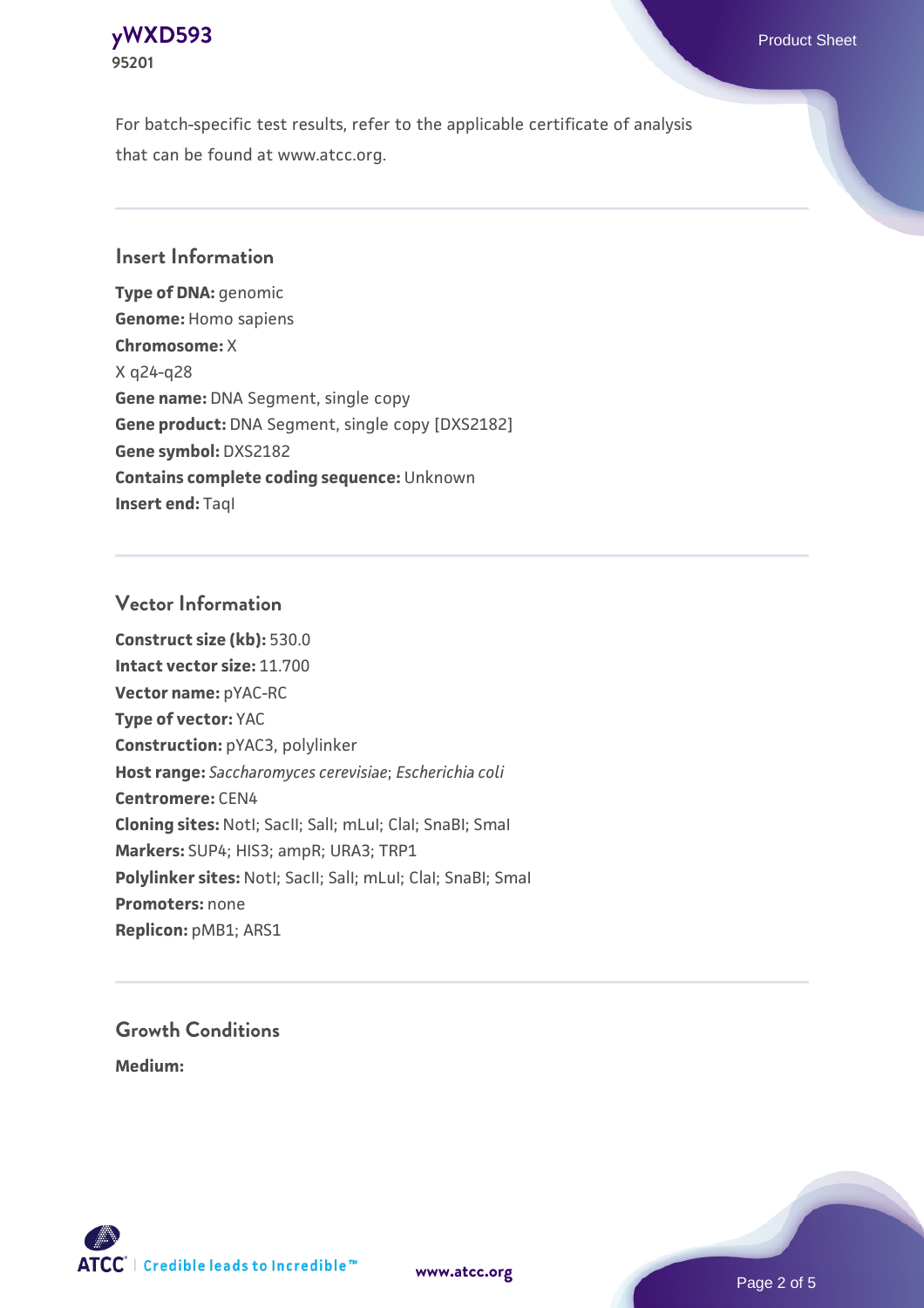

For batch-specific test results, refer to the applicable certificate of analysis that can be found at www.atcc.org.

#### **Insert Information**

**Type of DNA:** genomic **Genome:** Homo sapiens **Chromosome:** X X q24-q28 **Gene name:** DNA Segment, single copy **Gene product:** DNA Segment, single copy [DXS2182] **Gene symbol:** DXS2182 **Contains complete coding sequence:** Unknown **Insert end: Tagl** 

#### **Vector Information**

**Construct size (kb):** 530.0 **Intact vector size:** 11.700 **Vector name:** pYAC-RC **Type of vector:** YAC **Construction:** pYAC3, polylinker **Host range:** *Saccharomyces cerevisiae*; *Escherichia coli* **Centromere:** CEN4 **Cloning sites:** NotI; SacII; SalI; mLuI; ClaI; SnaBI; SmaI **Markers:** SUP4; HIS3; ampR; URA3; TRP1 Polylinker sites: Notl; SacII; SalI; mLuI; ClaI; SnaBI; SmaI **Promoters:** none **Replicon:** pMB1; ARS1

## **Growth Conditions**

**Medium:** 



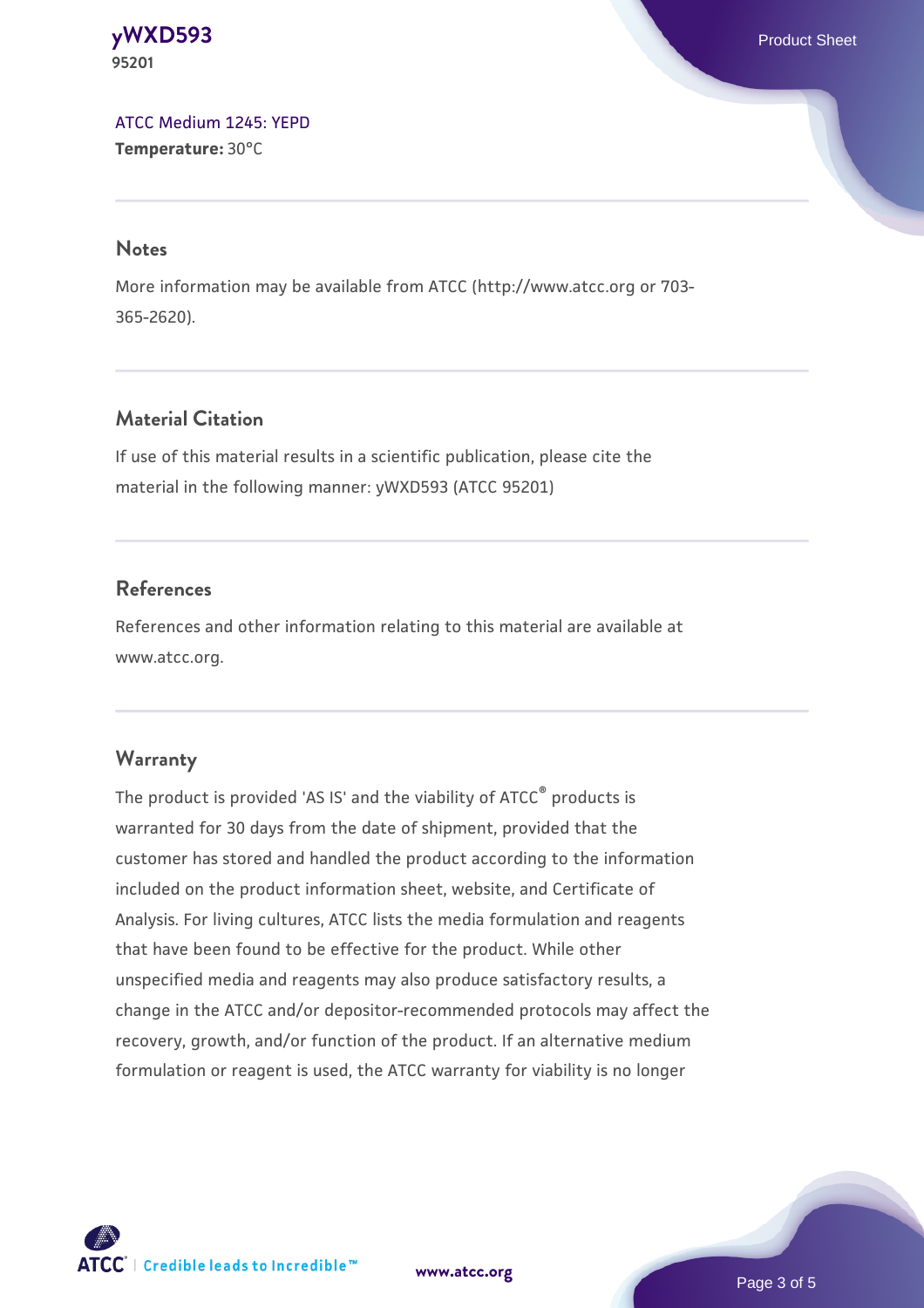**[yWXD593](https://www.atcc.org/products/95201)** Product Sheet **95201**

[ATCC Medium 1245: YEPD](https://www.atcc.org/-/media/product-assets/documents/microbial-media-formulations/1/2/4/5/atcc-medium-1245.pdf?rev=705ca55d1b6f490a808a965d5c072196) **Temperature:** 30°C

#### **Notes**

More information may be available from ATCC (http://www.atcc.org or 703- 365-2620).

#### **Material Citation**

If use of this material results in a scientific publication, please cite the material in the following manner: yWXD593 (ATCC 95201)

#### **References**

References and other information relating to this material are available at www.atcc.org.

#### **Warranty**

The product is provided 'AS IS' and the viability of ATCC® products is warranted for 30 days from the date of shipment, provided that the customer has stored and handled the product according to the information included on the product information sheet, website, and Certificate of Analysis. For living cultures, ATCC lists the media formulation and reagents that have been found to be effective for the product. While other unspecified media and reagents may also produce satisfactory results, a change in the ATCC and/or depositor-recommended protocols may affect the recovery, growth, and/or function of the product. If an alternative medium formulation or reagent is used, the ATCC warranty for viability is no longer



**[www.atcc.org](http://www.atcc.org)**

Page 3 of 5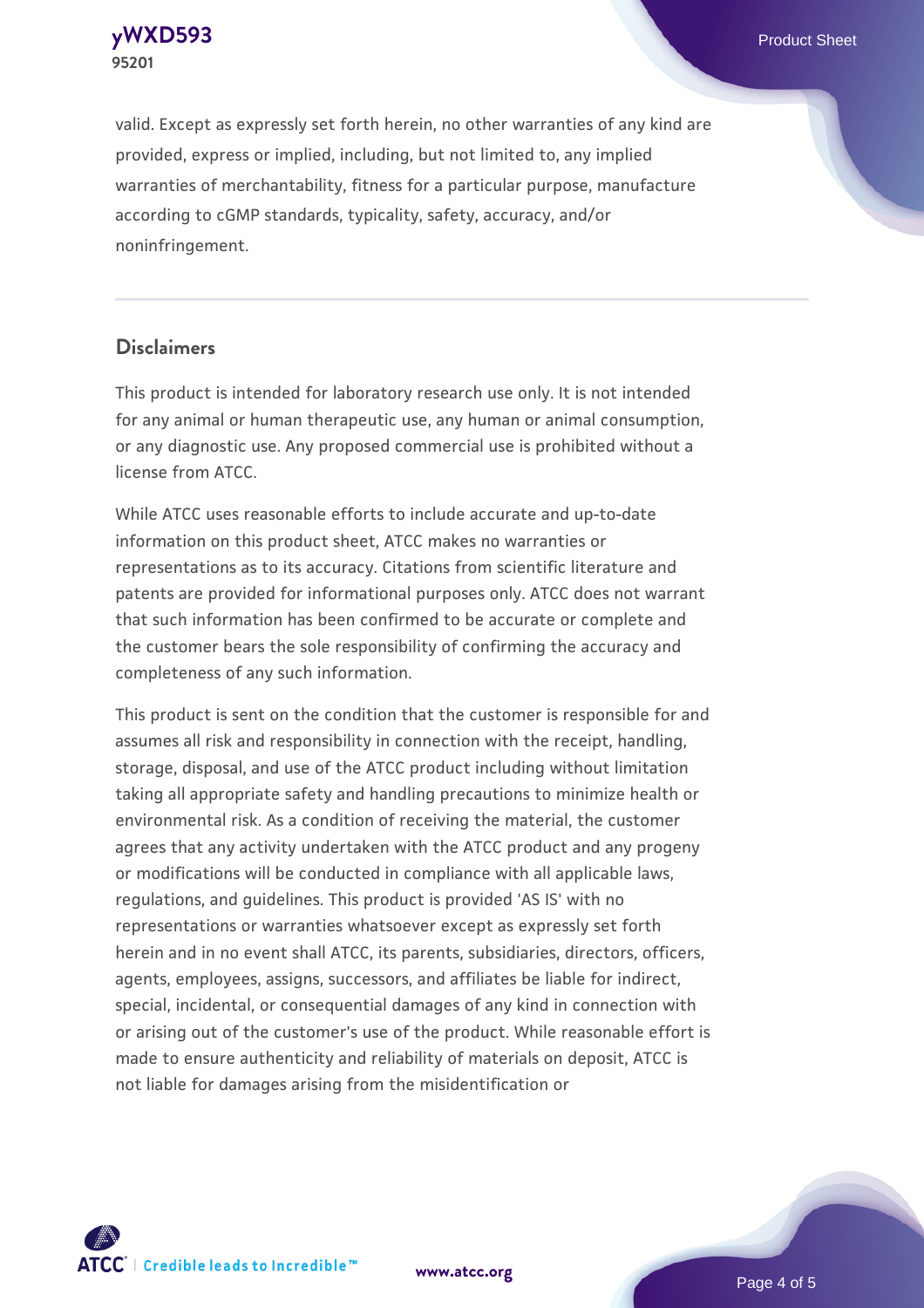

valid. Except as expressly set forth herein, no other warranties of any kind are provided, express or implied, including, but not limited to, any implied warranties of merchantability, fitness for a particular purpose, manufacture according to cGMP standards, typicality, safety, accuracy, and/or noninfringement.

#### **Disclaimers**

This product is intended for laboratory research use only. It is not intended for any animal or human therapeutic use, any human or animal consumption, or any diagnostic use. Any proposed commercial use is prohibited without a license from ATCC.

While ATCC uses reasonable efforts to include accurate and up-to-date information on this product sheet, ATCC makes no warranties or representations as to its accuracy. Citations from scientific literature and patents are provided for informational purposes only. ATCC does not warrant that such information has been confirmed to be accurate or complete and the customer bears the sole responsibility of confirming the accuracy and completeness of any such information.

This product is sent on the condition that the customer is responsible for and assumes all risk and responsibility in connection with the receipt, handling, storage, disposal, and use of the ATCC product including without limitation taking all appropriate safety and handling precautions to minimize health or environmental risk. As a condition of receiving the material, the customer agrees that any activity undertaken with the ATCC product and any progeny or modifications will be conducted in compliance with all applicable laws, regulations, and guidelines. This product is provided 'AS IS' with no representations or warranties whatsoever except as expressly set forth herein and in no event shall ATCC, its parents, subsidiaries, directors, officers, agents, employees, assigns, successors, and affiliates be liable for indirect, special, incidental, or consequential damages of any kind in connection with or arising out of the customer's use of the product. While reasonable effort is made to ensure authenticity and reliability of materials on deposit, ATCC is not liable for damages arising from the misidentification or



**[www.atcc.org](http://www.atcc.org)**

Page 4 of 5